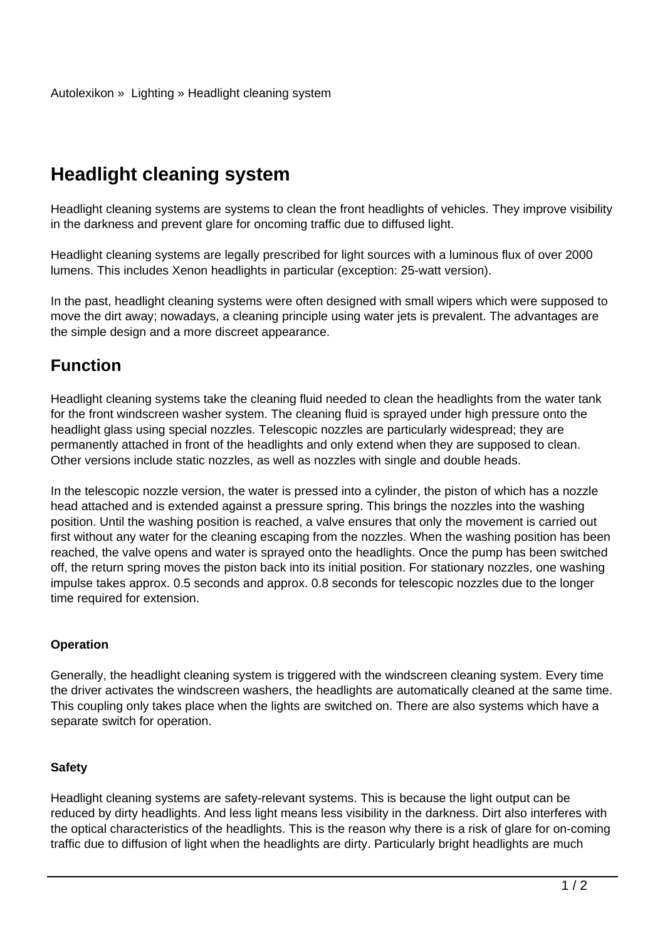# **Headlight cleaning system**

Headlight cleaning systems are systems to clean the front headlights of vehicles. They improve visibility in the darkness and prevent glare for oncoming traffic due to diffused light.

Headlight cleaning systems are legally prescribed for light sources with a luminous flux of over 2000 lumens. This includes Xenon headlights in particular (exception: 25-watt version).

In the past, headlight cleaning systems were often designed with small wipers which were supposed to move the dirt away; nowadays, a cleaning principle using water jets is prevalent. The advantages are the simple design and a more discreet appearance.

## **Function**

Headlight cleaning systems take the cleaning fluid needed to clean the headlights from the water tank for the front windscreen washer system. The cleaning fluid is sprayed under high pressure onto the headlight glass using special nozzles. Telescopic nozzles are particularly widespread; they are permanently attached in front of the headlights and only extend when they are supposed to clean. Other versions include static nozzles, as well as nozzles with single and double heads.

In the telescopic nozzle version, the water is pressed into a cylinder, the piston of which has a nozzle head attached and is extended against a pressure spring. This brings the nozzles into the washing position. Until the washing position is reached, a valve ensures that only the movement is carried out first without any water for the cleaning escaping from the nozzles. When the washing position has been reached, the valve opens and water is sprayed onto the headlights. Once the pump has been switched off, the return spring moves the piston back into its initial position. For stationary nozzles, one washing impulse takes approx. 0.5 seconds and approx. 0.8 seconds for telescopic nozzles due to the longer time required for extension.

#### **Operation**

Generally, the headlight cleaning system is triggered with the windscreen cleaning system. Every time the driver activates the windscreen washers, the headlights are automatically cleaned at the same time. This coupling only takes place when the lights are switched on. There are also systems which have a separate switch for operation.

#### **Safety**

Headlight cleaning systems are safety-relevant systems. This is because the light output can be reduced by dirty headlights. And less light means less visibility in the darkness. Dirt also interferes with the optical characteristics of the headlights. This is the reason why there is a risk of glare for on-coming traffic due to diffusion of light when the headlights are dirty. Particularly bright headlights are much